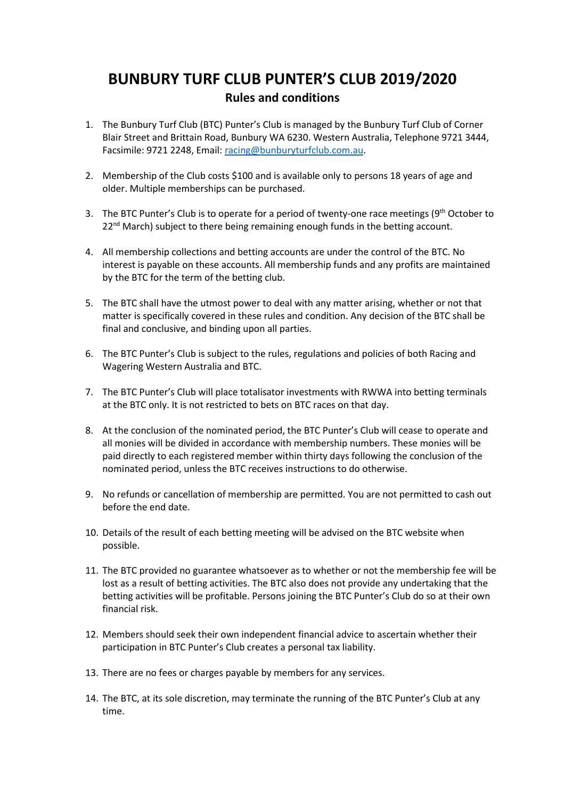## **BUNBURY TURF CLUB PUNTER'S CLUB 2019/2020 Rules and conditions**

- 1. The Bunbury Turf Club (BTC) Punter's Club is managed by the Bunbury Turf Club of Corner Blair Street and Brittain Road, Bunbury WA 6230. Western Australia, Telephone 9721 3444, Facsimile: 9721 2248, Email: [racing@bunburyturfclub.com.au.](mailto:racing@bunburyturfclub.com.au)
- 2. Membership of the Club costs \$100 and is available only to persons 18 years of age and older. Multiple memberships can be purchased.
- 3. The BTC Punter's Club is to operate for a period of twenty-one race meetings (9<sup>th</sup> October to  $22<sup>nd</sup>$  March) subject to there being remaining enough funds in the betting account.
- 4. All membership collections and betting accounts are under the control of the BTC. No interest is payable on these accounts. All membership funds and any profits are maintained by the BTC for the term of the betting club.
- 5. The BTC shall have the utmost power to deal with any matter arising, whether or not that matter is specifically covered in these rules and condition. Any decision of the BTC shall be final and conclusive, and binding upon all parties.
- 6. The BTC Punter's Club is subject to the rules, regulations and policies of both Racing and Wagering Western Australia and BTC.
- 7. The BTC Punter's Club will place totalisator investments with RWWA into betting terminals at the BTC only. It is not restricted to bets on BTC races on that day.
- 8. At the conclusion of the nominated period, the BTC Punter's Club will cease to operate and all monies will be divided in accordance with membership numbers. These monies will be paid directly to each registered member within thirty days following the conclusion of the nominated period, unless the BTC receives instructions to do otherwise.
- 9. No refunds or cancellation of membership are permitted. You are not permitted to cash out before the end date.
- 10. Details of the result of each betting meeting will be advised on the BTC website when possible.
- 11. The BTC provided no guarantee whatsoever as to whether or not the membership fee will be lost as a result of betting activities. The BTC also does not provide any undertaking that the betting activities will be profitable. Persons joining the BTC Punter's Club do so at their own financial risk.
- 12. Members should seek their own independent financial advice to ascertain whether their participation in BTC Punter's Club creates a personal tax liability.
- 13. There are no fees or charges payable by members for any services.
- 14. The BTC, at its sole discretion, may terminate the running of the BTC Punter's Club at any time.